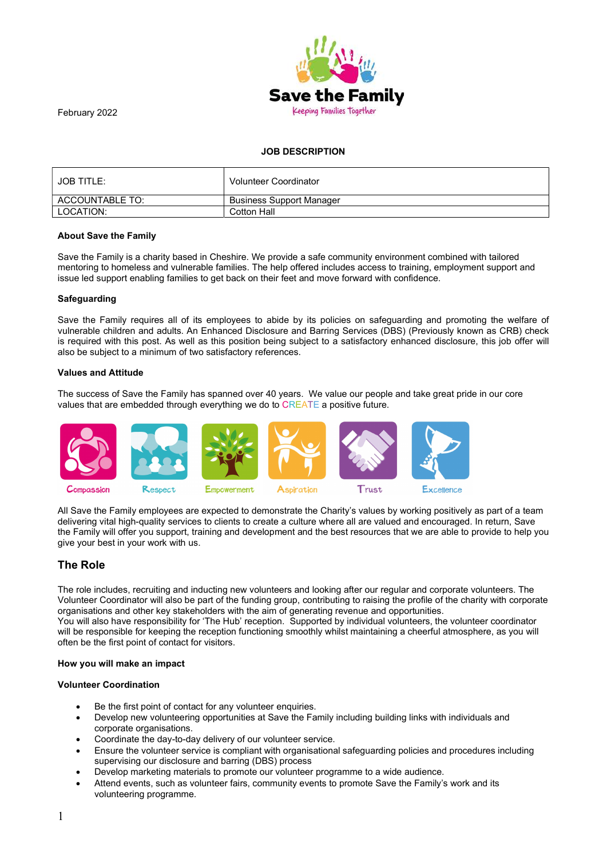

February 2022

# JOB DESCRIPTION

| <b>JOB TITLE:</b> | <b>Volunteer Coordinator</b>    |
|-------------------|---------------------------------|
| ACCOUNTABLE TO:   | <b>Business Support Manager</b> |
| LOCATION:         | Cotton Hall                     |

## About Save the Family

Save the Family is a charity based in Cheshire. We provide a safe community environment combined with tailored mentoring to homeless and vulnerable families. The help offered includes access to training, employment support and issue led support enabling families to get back on their feet and move forward with confidence.

#### **Safeguarding**

Save the Family requires all of its employees to abide by its policies on safeguarding and promoting the welfare of vulnerable children and adults. An Enhanced Disclosure and Barring Services (DBS) (Previously known as CRB) check is required with this post. As well as this position being subject to a satisfactory enhanced disclosure, this job offer will also be subject to a minimum of two satisfactory references.

## Values and Attitude

The success of Save the Family has spanned over 40 years. We value our people and take great pride in our core values that are embedded through everything we do to CREATE a positive future.



All Save the Family employees are expected to demonstrate the Charity's values by working positively as part of a team delivering vital high-quality services to clients to create a culture where all are valued and encouraged. In return, Save the Family will offer you support, training and development and the best resources that we are able to provide to help you give your best in your work with us.

# The Role

The role includes, recruiting and inducting new volunteers and looking after our regular and corporate volunteers. The Volunteer Coordinator will also be part of the funding group, contributing to raising the profile of the charity with corporate organisations and other key stakeholders with the aim of generating revenue and opportunities. You will also have responsibility for 'The Hub' reception. Supported by individual volunteers, the volunteer coordinator will be responsible for keeping the reception functioning smoothly whilst maintaining a cheerful atmosphere, as you will often be the first point of contact for visitors.

#### How you will make an impact

## Volunteer Coordination

- Be the first point of contact for any volunteer enquiries.
- Develop new volunteering opportunities at Save the Family including building links with individuals and corporate organisations.
- Coordinate the day-to-day delivery of our volunteer service.
- Ensure the volunteer service is compliant with organisational safeguarding policies and procedures including supervising our disclosure and barring (DBS) process
- Develop marketing materials to promote our volunteer programme to a wide audience.
- Attend events, such as volunteer fairs, community events to promote Save the Family's work and its volunteering programme.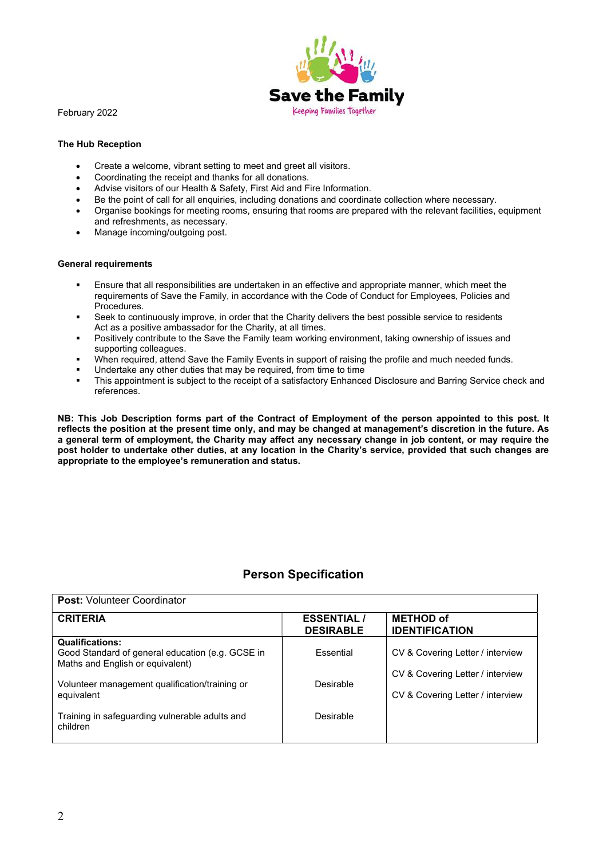

February 2022

# The Hub Reception

- Create a welcome, vibrant setting to meet and greet all visitors.
- Coordinating the receipt and thanks for all donations.
- Advise visitors of our Health & Safety, First Aid and Fire Information.
- Be the point of call for all enquiries, including donations and coordinate collection where necessary.
- Organise bookings for meeting rooms, ensuring that rooms are prepared with the relevant facilities, equipment and refreshments, as necessary.
- Manage incoming/outgoing post.

## General requirements

- Ensure that all responsibilities are undertaken in an effective and appropriate manner, which meet the requirements of Save the Family, in accordance with the Code of Conduct for Employees, Policies and Procedures.
- Seek to continuously improve, in order that the Charity delivers the best possible service to residents Act as a positive ambassador for the Charity, at all times.
- Positively contribute to the Save the Family team working environment, taking ownership of issues and supporting colleagues.
- When required, attend Save the Family Events in support of raising the profile and much needed funds.
- Undertake any other duties that may be required, from time to time
- This appointment is subject to the receipt of a satisfactory Enhanced Disclosure and Barring Service check and references.

NB: This Job Description forms part of the Contract of Employment of the person appointed to this post. It reflects the position at the present time only, and may be changed at management's discretion in the future. As a general term of employment, the Charity may affect any necessary change in job content, or may require the post holder to undertake other duties, at any location in the Charity's service, provided that such changes are appropriate to the employee's remuneration and status.

# Person Specification

| <b>Post: Volunteer Coordinator</b>                                                                             |                                       |                                                                      |  |  |
|----------------------------------------------------------------------------------------------------------------|---------------------------------------|----------------------------------------------------------------------|--|--|
| <b>CRITERIA</b>                                                                                                | <b>ESSENTIAL/</b><br><b>DESIRABLE</b> | <b>METHOD of</b><br><b>IDENTIFICATION</b>                            |  |  |
| <b>Qualifications:</b><br>Good Standard of general education (e.g. GCSE in<br>Maths and English or equivalent) | <b>Fssential</b>                      | CV & Covering Letter / interview                                     |  |  |
| Volunteer management qualification/training or<br>equivalent                                                   | Desirable                             | CV & Covering Letter / interview<br>CV & Covering Letter / interview |  |  |
| Training in safeguarding vulnerable adults and<br>children                                                     | Desirable                             |                                                                      |  |  |